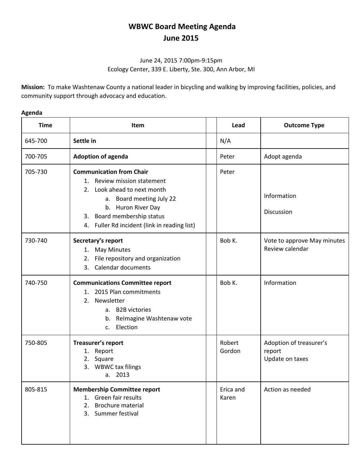## **WBWC Board Meeting Agenda June 2015**

## June 24, 2015 7:00pm-9:15pm Ecology Center, 339 E. Liberty, Ste. 300, Ann Arbor, MI

**Mission:** To make Washtenaw County a national leader in bicycling and walking by improving facilities, policies, and community support through advocacy and education.

## **Agenda**

| <b>Time</b> | <b>Item</b>                                                                                                                                                                                                                   | Lead               | <b>Outcome Type</b>                                  |
|-------------|-------------------------------------------------------------------------------------------------------------------------------------------------------------------------------------------------------------------------------|--------------------|------------------------------------------------------|
| 645-700     | Settle in                                                                                                                                                                                                                     | N/A                |                                                      |
| 700-705     | <b>Adoption of agenda</b>                                                                                                                                                                                                     | Peter              | Adopt agenda                                         |
| 705-730     | <b>Communication from Chair</b><br>1. Review mission statement<br>2. Look ahead to next month<br>a. Board meeting July 22<br>b. Huron River Day<br>3. Board membership status<br>4. Fuller Rd incident (link in reading list) | Peter              | Information<br>Discussion                            |
| 730-740     | Secretary's report<br>1. May Minutes<br>File repository and organization<br>2.<br><b>Calendar documents</b><br>3.                                                                                                             | Bob K.             | Vote to approve May minutes<br>Review calendar       |
| 740-750     | <b>Communications Committee report</b><br>1. 2015 Plan commitments<br>2. Newsletter<br>a. B2B victories<br>Relmagine Washtenaw vote<br>b.<br>Election<br>C.                                                                   | Bob K.             | Information                                          |
| 750-805     | Treasurer's report<br>1. Report<br>2. Square<br>3. WBWC tax filings<br>2013<br>a.                                                                                                                                             | Robert<br>Gordon   | Adoption of treasurer's<br>report<br>Update on taxes |
| 805-815     | <b>Membership Committee report</b><br>1. Green fair results<br>2. Brochure material<br>3. Summer festival                                                                                                                     | Erica and<br>Karen | Action as needed                                     |